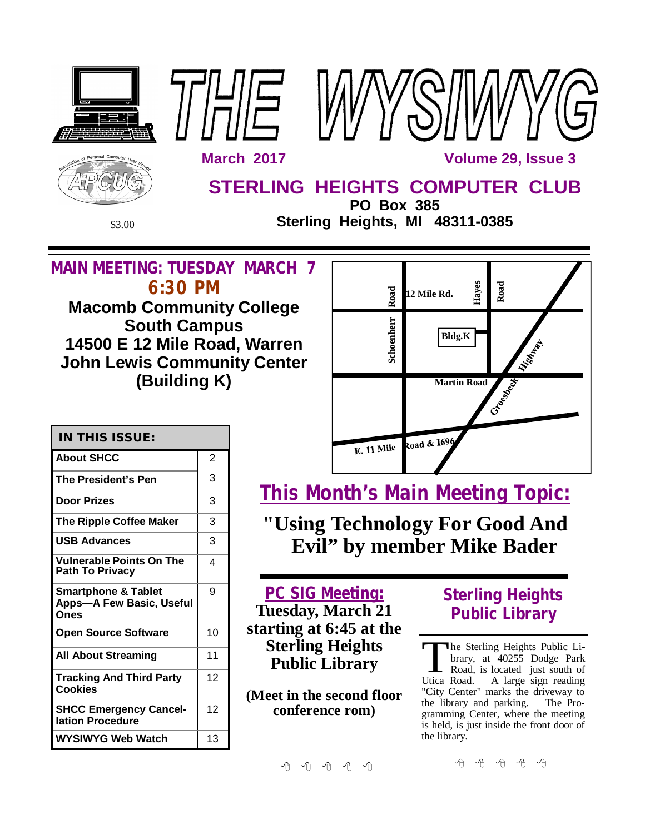

**SHCC Emergency Cancel-**12 **WYSIWYG Web Watch | 13 conference rom)**

**lation Procedure**

平 平 平 平 平

中 中 中 中 中

the library.

the library and parking. The Programming Center, where the meeting is held, is just inside the front door of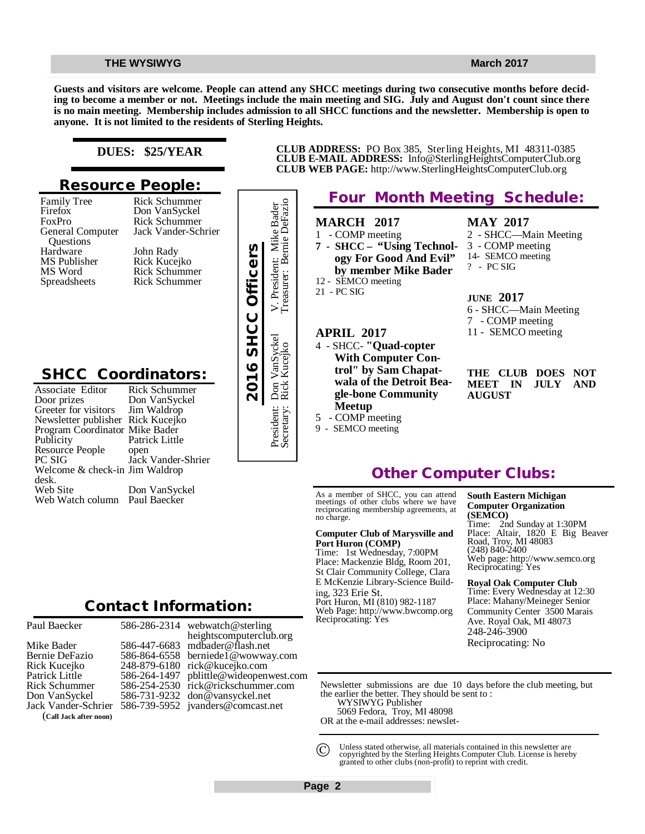**Guests and visitors are welcome. People can attend any SHCC meetings during two consecutive months before deciding to become a member or not. Meetings include the main meeting and SIG. July and August don't count since there is no main meeting. Membership includes admission to all SHCC functions and the newsletter. Membership is open to anyone. It is not limited to the residents of Sterling Heights.**

### **DUES: \$25/YEAR**

## **Resource People:**

Family Tree Firefox FoxPro General Computer Questions Hardware MS Publisher MS Word Spreadsheets

Don VanSyckel Rick Schummer Jack Vander-Schrier John Rady Rick Kucejko Rick Schummer Rick Schummer

Rick Schummer

# **SHCC Coordinators:**

| Hardware<br>MS Publisher<br>MS Word<br>Spreadsheets                                                                                                                                                                                                                              | John Rady<br>Rick Kucejko<br><b>Rick Schummer</b><br><b>Rick Schummer</b>                                                             | 2016 SHCC Officers |
|----------------------------------------------------------------------------------------------------------------------------------------------------------------------------------------------------------------------------------------------------------------------------------|---------------------------------------------------------------------------------------------------------------------------------------|--------------------|
| <b>SHCC Coordinators:</b><br>Associate Editor<br>Door prizes<br>Greeter for visitors<br>Newsletter publisher Rick Kucejko<br>Program Coordinator Mike Bader<br>Publicity<br>Resource People<br>PC SIG<br>Welcome & check-in Jim Waldrop<br>desk.<br>Web Site<br>Web Watch column | <b>Rick Schummer</b><br>Don VanSyckel<br>Jim Waldrop<br>Patrick Little<br>open<br>Jack Vander-Shrier<br>Don VanSyckel<br>Paul Baecker |                    |
|                                                                                                                                                                                                                                                                                  | <b>Contact Information:</b>                                                                                                           |                    |

| Paul Baecker                                                                           | 5                     |
|----------------------------------------------------------------------------------------|-----------------------|
| Mike Bader<br>Bernie DeFazio<br>Rick Kucejko<br>Patrick Little<br><b>Rick Schummer</b> | 5<br>5<br>2<br>5<br>5 |
| Don VanSyckel                                                                          | 5                     |
| Jack Vander-Schrier                                                                    | 5                     |
| (Call Jack after noon)                                                                 |                       |

586-286-2314 586-447-6683 586-864-6558 248-879-6180 [rick@kucejko.com](mailto:rick@kucejko.com) 586-264-1497 [pblittle@wideopenwest.com](mailto:pblittle@wideopenwest.com) 586-254-2530 [rick@rickschummer.com](mailto:rick@rickschummer.com) 586-731-9232 [don@vansyckel.net](mailto:don@vansyckel.net) 586-739-5952 [jvanders@comcast.net](mailto:jvanders@comcast.net) webwatch@sterling heightscomputerclub.org [mdbader@flash.net](mailto:mdbader@flash.net) [berniede1@wowway.com](mailto:berniede1@wowway.com)

**CLUB ADDRESS:** PO Box 385, Sterling Heights, MI 48311-0385 **CLUB E-MAIL ADDRESS:** [Info@SterlingHeightsComputerClub.org](mailto:Info@SterlingHeightsComputerClub.org) **CLUB WEB PAGE:** <http://www.SterlingHeightsComputerClub.org>

# **Four Month Meeting Schedule:**

### **MARCH 2017**

1 - COMP meeting

- **7 SHCC "Using Technology For Good And Evil" by member Mike Bader** 12 - SEMCO meeting
- 21 PC SIG

### **APRIL 2017**

President: Don VanSyckel V. President: Mike Bader Secretary: Rick Kucejko Treasurer: Bernie DeFazio

Don VanSyckel<br>Rick Kucejko

President: I<br>Secretary: I

President: Mike Bader<br>asurer: Bernie DeFazio

V. President<br>Treasurer: E

9 - SEMCO meeting

4 - SHCC- **"Quad-copter With Computer Control" by Sam Chapatwala of the Detroit Beagle-bone Community Meetup** 5 - COMP meeting

**MAY 2017**

- 2 SHCC—Main Meeting 3 - COMP meeting
- 14- SEMCO meeting
- ? PC SIG

#### **JUNE 2017**

6 - SHCC—Main Meeting 7 - COMP meeting 11 - SEMCO meeting

**THE CLUB DOES NOT MEET IN JULY AND AUGUST**

# **Other Computer Clubs:**

As a member of SHCC, you can attend meetings of other clubs where we have reciprocating membership agreements, at no charge.

#### **Computer Club of Marysville and Port Huron (COMP)**

Time: 1st Wednesday, 7:00PM Place: Mackenzie Bldg, Room 201, St Clair Community College, Clara E McKenzie Library-Science Building, 323 Erie St. Port Huron, MI (810) 982-1187 Web Page:<http://www.bwcomp.org> Reciprocating: Yes

**South Eastern Michigan Computer Organization (SEMCO)**

Time: 2nd Sunday at 1:30PM Place: Altair, 1820 E Big Beaver Road, Troy, MI 48083 (248) 840-2400 Web page: <http://www.semco.org> Reciprocating: Yes

**Royal Oak Computer Club** Time: Every Wednesday at 12:30 Place: Mahany/Meineger Senior Community Center 3500 Marais Ave. Royal Oak, MI 48073 248-246-3900 Reciprocating: No

Newsletter submissions are due 10 days before the club meeting, but the earlier the better. They should be sent to :

WYSIWYG Publisher

5069 Fedora, Troy, MI 48098

OR at the e-mail addresses: newslet-

Unless stated otherwise, all materials contained in this newsletter are copyrighted by the Sterling Heights Computer Club. License is hereby granted to other clubs (non-profit) to reprint with credit.  $\odot$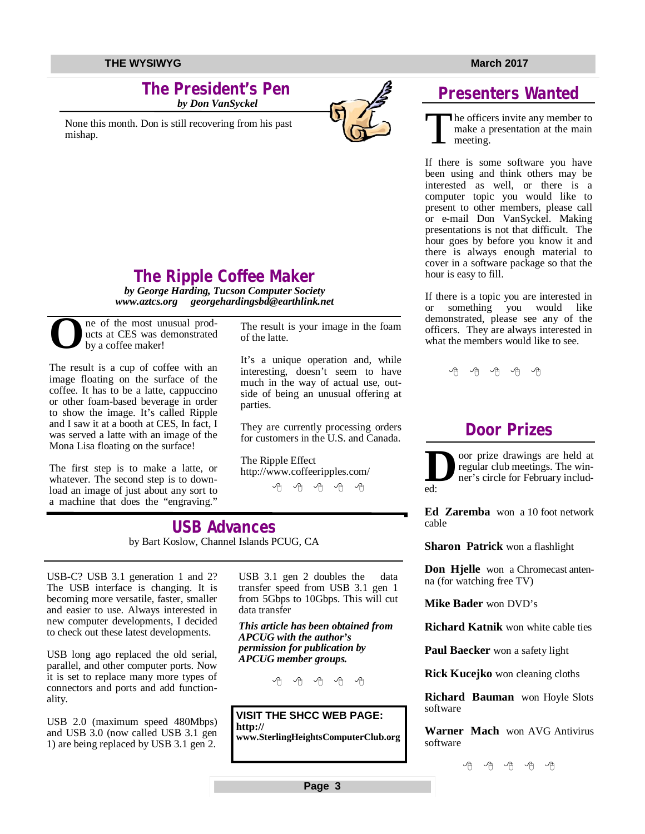# **The President's Pen**

 *by Don VanSyckel*

None this month. Don is still recovering from his past mishap.



# **Presenters Wanted**

T he officers invite any member to make a presentation at the main meeting.

If there is some software you have been using and think others may be interested as well, or there is a computer topic you would like to present to other members, please call or e-mail Don VanSyckel. Making presentations is not that difficult. The hour goes by before you know it and there is always enough material to cover in a software package so that the hour is easy to fill.

If there is a topic you are interested in or something you would like demonstrated, please see any of the officers. They are always interested in what the members would like to see.

中 中 中 中 中

# **Door Prizes**

**D** oor prize drawings are held at regular club meetings. The winner's circle for February included:

**Ed Zaremba** won a 10 foot network cable

**Sharon Patrick** won a flashlight

**Don Hielle** won a Chromecast antenna (for watching free TV)

**Mike Bader** won DVD's

**Richard Katnik** won white cable ties

**Paul Baecker** won a safety light

**Rick Kucejko** won cleaning cloths

**Richard Bauman** won Hoyle Slots software

**Warner Mach** won AVG Antivirus software

平 平 平 平 平

**The Ripple Coffee Maker**

*by George Harding, Tucson Computer Society [www.aztcs.org](http://www.aztcs.org) [georgehardingsbd@earthlink.net](mailto:georgehardingsbd@earthlink.net)*

**O** ne of the most unusual products at CES was demonstrated by a coffee maker!

The result is a cup of coffee with an image floating on the surface of the coffee. It has to be a latte, cappuccino or other foam-based beverage in order to show the image. It's called Ripple and I saw it at a booth at CES, In fact, I was served a latte with an image of the Mona Lisa floating on the surface!

The first step is to make a latte, or whatever. The second step is to download an image of just about any sort to a machine that does the "engraving."

The result is your image in the foam of the latte.

It's a unique operation and, while interesting, doesn't seem to have much in the way of actual use, outside of being an unusual offering at parties.

They are currently processing orders for customers in the U.S. and Canada.

The Ripple Effect <http://www.coffeeripples.com/>

平 平 平 平 平

**USB Advances** by Bart Koslow, Channel Islands PCUG, CA

USB-C? USB 3.1 generation 1 and 2? The USB interface is changing. It is becoming more versatile, faster, smaller and easier to use. Always interested in new computer developments, I decided to check out these latest developments.

USB long ago replaced the old serial, parallel, and other computer ports. Now it is set to replace many more types of connectors and ports and add functionality.

USB 2.0 (maximum speed 480Mbps) and USB 3.0 (now called USB 3.1 gen 1) are being replaced by USB 3.1 gen 2. USB 3.1 gen 2 doubles the data transfer speed from USB 3.1 gen 1 from 5Gbps to 10Gbps. This will cut data transfer

*This article has been obtained from APCUG with the author's permission for publication by APCUG member groups.*

平 平 平 平 平

### **VISIT THE SHCC WEB PAGE: <http://>**

**[www.SterlingHeightsComputerClub.org](http://www.SterlingHeightsComputerClub.org)**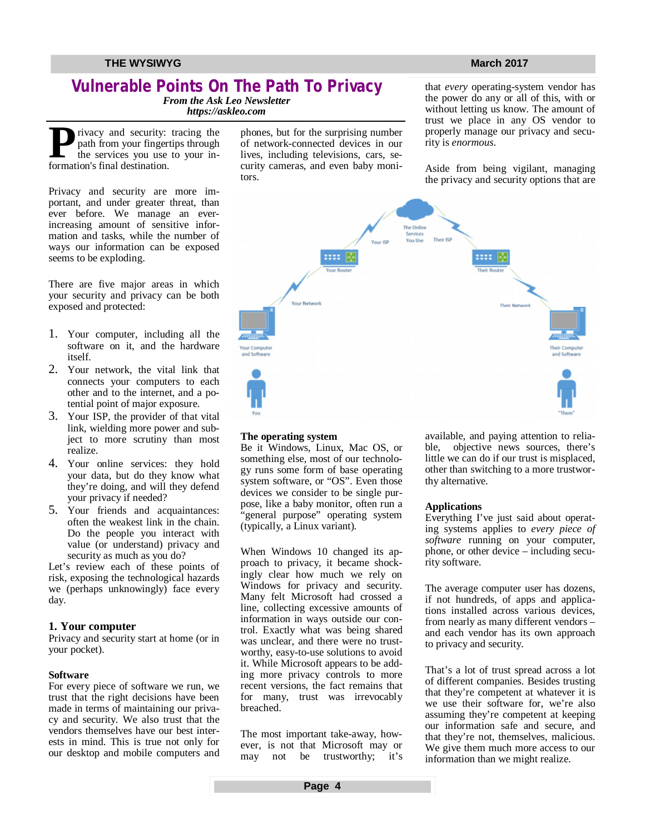# **Vulnerable Points On The Path To Privacy**

*From the Ask Leo Newsletter*

*<https://askleo.com>*

**P P**fivacy and security:<br>
path from your fingert<br>
the services you use<br>
formation's final destination. rivacy and security: tracing the path from your fingertips through the services you use to your in-

Privacy and security are more important, and under greater threat, than ever before. We manage an everincreasing amount of sensitive information and tasks, while the number of ways our information can be exposed seems to be exploding.

There are five major areas in which your security and privacy can be both exposed and protected:

- 1. Your computer, including all the software on it, and the hardware itself.
- 2. Your network, the vital link that connects your computers to each other and to the internet, and a potential point of major exposure.
- 3. Your ISP, the provider of that vital link, wielding more power and subject to more scrutiny than most realize.
- 4. Your online services: they hold your data, but do they know what they're doing, and will they defend your privacy if needed?
- 5. Your friends and acquaintances: often the weakest link in the chain. Do the people you interact with value (or understand) privacy and security as much as you do?

Let's review each of these points of risk, exposing the technological hazards we (perhaps unknowingly) face every day.

#### **1. Your computer**

Privacy and security start at home (or in your pocket).

#### **Software**

For every piece of software we run, we trust that the right decisions have been made in terms of maintaining our privacy and security. We also trust that the vendors themselves have our best interests in mind. This is true not only for our desktop and mobile computers and phones, but for the surprising number of network-connected devices in our lives, including televisions, cars, security cameras, and even baby monitors.

that *every* operating-system vendor has the power do any or all of this, with or without letting us know. The amount of trust we place in any OS vendor to properly manage our privacy and security is *enormous*.

Aside from being vigilant, managing the privacy and security options that are



#### **The operating system**

Be it Windows, Linux, Mac OS, or something else, most of our technology runs some form of base operating system software, or "OS". Even those devices we consider to be single purpose, like a baby monitor, often run a "general purpose" operating system (typically, a Linux variant).

When Windows 10 changed its approach to privacy, it became shockingly clear how much we rely on Windows for privacy and security. Many felt Microsoft had crossed a line, collecting excessive amounts of information in ways outside our control. Exactly what was being shared was unclear, and there were no trustworthy, easy-to-use solutions to avoid it. While Microsoft appears to be adding more privacy controls to more recent versions, the fact remains that for many, trust was irrevocably breached.

The most important take-away, however, is not that Microsoft may or may not be trustworthy; it's available, and paying attention to reliable, objective news sources, there's little we can do if our trust is misplaced, other than switching to a more trustworthy alternative.

#### **Applications**

Everything I've just said about operating systems applies to *every piece of software* running on your computer, phone, or other device – including security software.

The average computer user has dozens, if not hundreds, of apps and applications installed across various devices, from nearly as many different vendors – and each vendor has its own approach to privacy and security.

That's a lot of trust spread across a lot of different companies. Besides trusting that they're competent at whatever it is we use their software for, we're also assuming they're competent at keeping our information safe and secure, and that they're not, themselves, malicious. We give them much more access to our information than we might realize.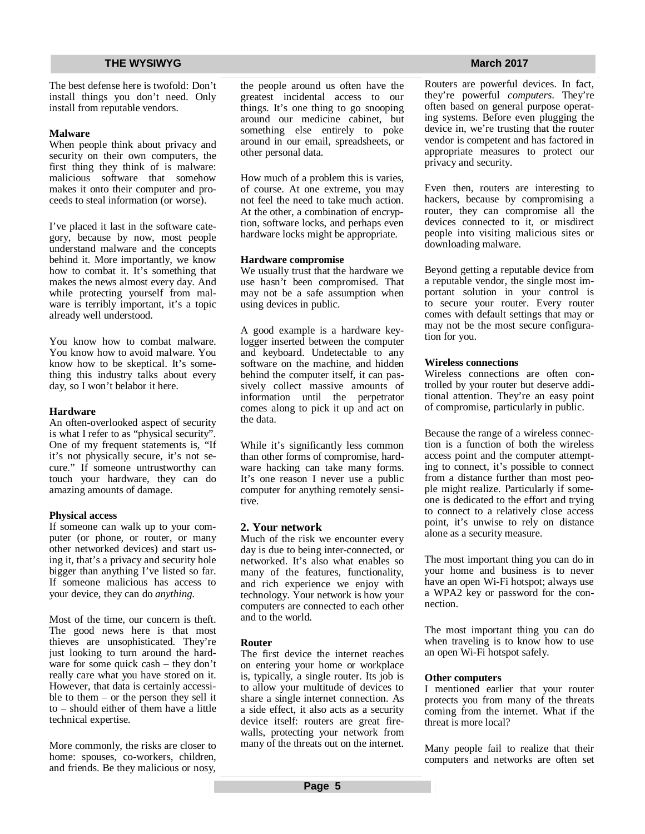The best defense here is twofold: Don't install things you don't need. Only install from reputable vendors.

#### **Malware**

When people think about privacy and security on their own computers, the first thing they think of is malware: malicious software that somehow makes it onto their computer and proceeds to steal information (or worse).

I've placed it last in the software category, because by now, most people understand malware and the concepts behind it. More importantly, we know how to combat it. It's something that makes the news almost every day. And while protecting yourself from malware is terribly important, it's a topic already well understood.

You know how to combat malware. You know how to avoid malware. You know how to be skeptical. It's something this industry talks about every day, so I won't belabor it here.

#### **Hardware**

An often-overlooked aspect of security is what I refer to as "physical security". One of my frequent statements is, "If it's not physically secure, it's not secure." If someone untrustworthy can touch your hardware, they can do amazing amounts of damage.

### **Physical access**

If someone can walk up to your computer (or phone, or router, or many other networked devices) and start using it, that's a privacy and security hole bigger than anything I've listed so far. If someone malicious has access to your device, they can do *anything*.

Most of the time, our concern is theft. The good news here is that most thieves are unsophisticated. They're just looking to turn around the hardware for some quick cash – they don't really care what you have stored on it. However, that data is certainly accessible to them – or the person they sell it to – should either of them have a little technical expertise.

More commonly, the risks are closer to home: spouses, co-workers, children, and friends. Be they malicious or nosy,

the people around us often have the greatest incidental access to our things. It's one thing to go snooping around our medicine cabinet, but something else entirely to poke around in our email, spreadsheets, or other personal data.

How much of a problem this is varies, of course. At one extreme, you may not feel the need to take much action. At the other, a combination of encryption, software locks, and perhaps even hardware locks might be appropriate.

#### **Hardware compromise**

We usually trust that the hardware we use hasn't been compromised. That may not be a safe assumption when using devices in public.

A good example is a hardware keylogger inserted between the computer and keyboard. Undetectable to any software on the machine, and hidden behind the computer itself, it can passively collect massive amounts of information until the perpetrator comes along to pick it up and act on the data.

While it's significantly less common than other forms of compromise, hardware hacking can take many forms. It's one reason I never use a public computer for anything remotely sensitive.

### **2. Your network**

Much of the risk we encounter every day is due to being inter-connected, or networked. It's also what enables so many of the features, functionality, and rich experience we enjoy with technology. Your network is how your computers are connected to each other and to the world.

#### **Router**

The first device the internet reaches on entering your home or workplace is, typically, a single router. Its job is to allow your multitude of devices to share a single internet connection. As a side effect, it also acts as a security device itself: routers are great firewalls, protecting your network from many of the threats out on the internet.

Routers are powerful devices. In fact, they're powerful *computers*. They're often based on general purpose operating systems. Before even plugging the device in, we're trusting that the router vendor is competent and has factored in appropriate measures to protect our privacy and security.

Even then, routers are interesting to hackers, because by compromising a router, they can compromise all the devices connected to it, or misdirect people into visiting malicious sites or downloading malware.

Beyond getting a reputable device from a reputable vendor, the single most important solution in your control is to secure your router. Every router comes with default settings that may or may not be the most secure configuration for you.

### **Wireless connections**

Wireless connections are often controlled by your router but deserve additional attention. They're an easy point of compromise, particularly in public.

Because the range of a wireless connection is a function of both the wireless access point and the computer attempting to connect, it's possible to connect from a distance further than most people might realize. Particularly if someone is dedicated to the effort and trying to connect to a relatively close access point, it's unwise to rely on distance alone as a security measure.

The most important thing you can do in your home and business is to never have an open Wi-Fi hotspot; always use a WPA2 key or password for the connection.

The most important thing you can do when traveling is to know how to use an open Wi-Fi hotspot safely.

#### **Other computers**

I mentioned earlier that your router protects you from many of the threats coming from the internet. What if the threat is more local?

Many people fail to realize that their computers and networks are often set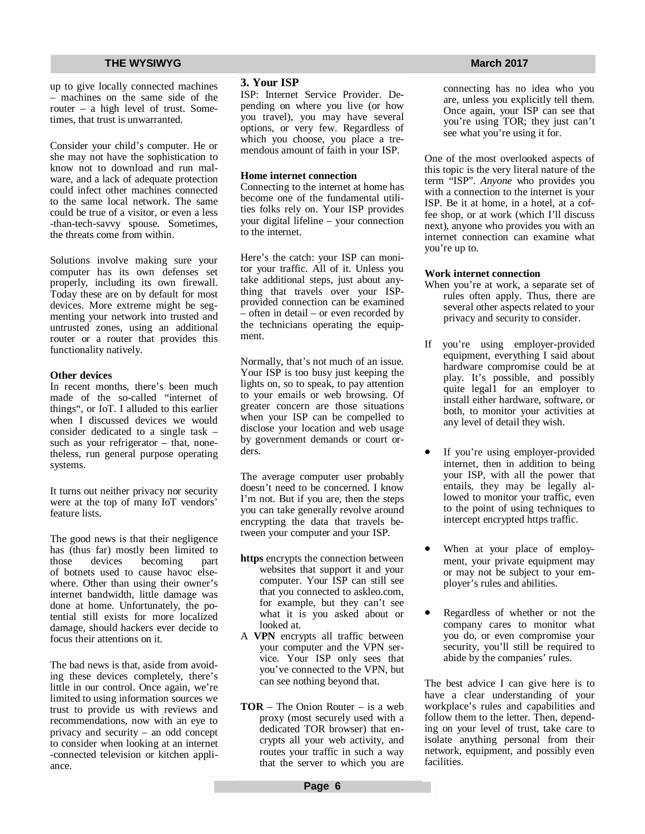up to give locally connected machines – machines on the same side of the router – a high level of trust. Sometimes, that trust is unwarranted.

Consider your child's computer. He or she may not have the sophistication to know not to download and run malware, and a lack of adequate protection could infect other machines connected to the same local network. The same could be true of a visitor, or even a less -than-tech-savvy spouse. Sometimes, the threats come from within.

Solutions involve making sure your computer has its own defenses set properly, including its own firewall. Today these are on by default for most devices. More extreme might be segmenting your network into trusted and untrusted zones, using an additional router or a router that provides this functionality natively.

#### **Other devices**

In recent months, there's been much made of the so-called "internet of things", or IoT. I alluded to this earlier when I discussed devices we would consider dedicated to a single task – such as your refrigerator – that, nonetheless, run general purpose operating systems.

It turns out neither privacy nor security were at the top of many IoT vendors' feature lists.

The good news is that their negligence has (thus far) mostly been limited to those devices becoming part of botnets used to cause havoc elsewhere. Other than using their owner's internet bandwidth, little damage was done at home. Unfortunately, the potential still exists for more localized damage, should hackers ever decide to focus their attentions on it.

The bad news is that, aside from avoiding these devices completely, there's little in our control. Once again, we're limited to using information sources we trust to provide us with reviews and recommendations, now with an eye to privacy and security – an odd concept to consider when looking at an internet -connected television or kitchen appliance.

#### **3. Your ISP**

ISP: Internet Service Provider. Depending on where you live (or how you travel), you may have several options, or very few. Regardless of which you choose, you place a tremendous amount of faith in your ISP.

#### **Home internet connection**

Connecting to the internet at home has become one of the fundamental utilities folks rely on. Your ISP provides your digital lifeline – your connection to the internet.

Here's the catch: your ISP can monitor your traffic. All of it. Unless you take additional steps, just about anything that travels over your ISPprovided connection can be examined – often in detail – or even recorded by the technicians operating the equipment.

Normally, that's not much of an issue. Your ISP is too busy just keeping the lights on, so to speak, to pay attention to your emails or web browsing. Of greater concern are those situations when your ISP can be compelled to disclose your location and web usage by government demands or court orders.

The average computer user probably doesn't need to be concerned. I know I'm not. But if you are, then the steps you can take generally revolve around encrypting the data that travels between your computer and your ISP.

- **https** encrypts the connection between websites that support it and your computer. Your ISP can still see that you connected to askleo.com, for example, but they can't see what it is you asked about or looked at.
- A **VPN** encrypts all traffic between your computer and the VPN service. Your ISP only sees that you've connected to the VPN, but can see nothing beyond that.
- **TOR** The Onion Router is a web proxy (most securely used with a dedicated TOR browser) that encrypts all your web activity, and routes your traffic in such a way that the server to which you are

connecting has no idea who you are, unless you explicitly tell them. Once again, your ISP can see that you're using TOR; they just can't see what you're using it for.

One of the most overlooked aspects of this topic is the very literal nature of the term "ISP". *Anyone* who provides you with a connection to the internet is your ISP. Be it at home, in a hotel, at a coffee shop, or at work (which I'll discuss next), anyone who provides you with an internet connection can examine what you're up to.

#### **Work internet connection**

- When you're at work, a separate set of rules often apply. Thus, there are several other aspects related to your privacy and security to consider.
- If you're using employer-provided equipment, everything I said about hardware compromise could be at play. It's possible, and possibly quite legal1 for an employer to install either hardware, software, or both, to monitor your activities at any level of detail they wish.
- If you're using employer-provided internet, then in addition to being your ISP, with all the power that entails, they may be legally allowed to monitor your traffic, even to the point of using techniques to intercept encrypted https traffic.
- When at your place of employment, your private equipment may or may not be subject to your employer's rules and abilities.
- Regardless of whether or not the company cares to monitor what you do, or even compromise your security, you'll still be required to abide by the companies' rules.

The best advice I can give here is to have a clear understanding of your workplace's rules and capabilities and follow them to the letter. Then, depending on your level of trust, take care to isolate anything personal from their network, equipment, and possibly even facilities.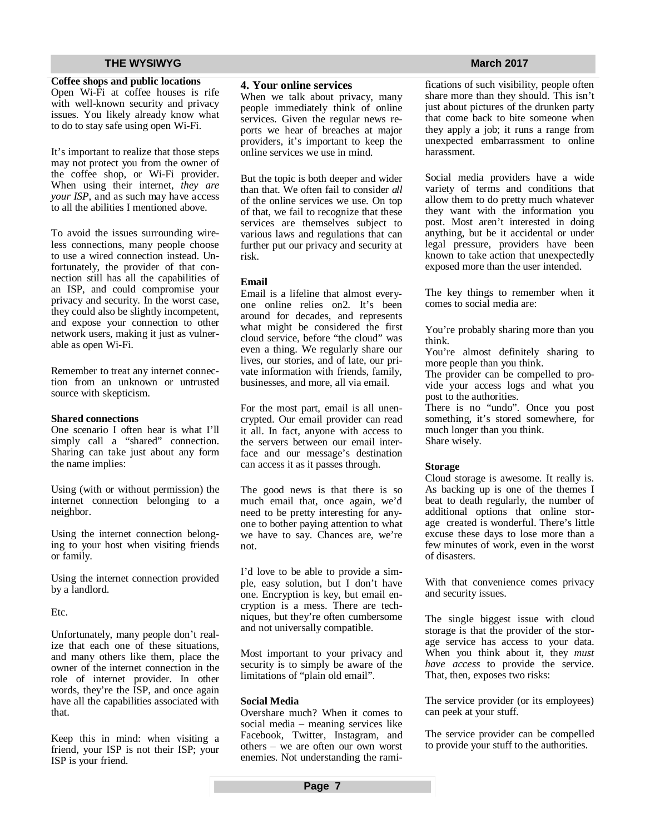#### **Coffee shops and public locations**

Open Wi-Fi at coffee houses is rife with well-known security and privacy issues. You likely already know what to do to stay safe using open Wi-Fi.

It's important to realize that those steps may not protect you from the owner of the coffee shop, or Wi-Fi provider. When using their internet, *they are your ISP*, and as such may have access to all the abilities I mentioned above.

To avoid the issues surrounding wireless connections, many people choose to use a wired connection instead. Unfortunately, the provider of that connection still has all the capabilities of an ISP, and could compromise your privacy and security. In the worst case, they could also be slightly incompetent, and expose your connection to other network users, making it just as vulnerable as open Wi-Fi.

Remember to treat any internet connection from an unknown or untrusted source with skepticism.

#### **Shared connections**

One scenario I often hear is what I'll simply call a "shared" connection. Sharing can take just about any form the name implies:

Using (with or without permission) the internet connection belonging to a neighbor.

Using the internet connection belonging to your host when visiting friends or family.

Using the internet connection provided by a landlord.

Etc.

Unfortunately, many people don't realize that each one of these situations, and many others like them, place the owner of the internet connection in the role of internet provider. In other words, they're the ISP, and once again have all the capabilities associated with that.

Keep this in mind: when visiting a friend, your ISP is not their ISP; your ISP is your friend.

#### **4. Your online services**

When we talk about privacy, many people immediately think of online services. Given the regular news reports we hear of breaches at major providers, it's important to keep the online services we use in mind.

But the topic is both deeper and wider than that. We often fail to consider *all* of the online services we use. On top of that, we fail to recognize that these services are themselves subject to various laws and regulations that can further put our privacy and security at risk.

#### **Email**

Email is a lifeline that almost everyone online relies on2. It's been around for decades, and represents what might be considered the first cloud service, before "the cloud" was even a thing. We regularly share our lives, our stories, and of late, our private information with friends, family, businesses, and more, all via email.

For the most part, email is all unencrypted. Our email provider can read it all. In fact, anyone with access to the servers between our email interface and our message's destination can access it as it passes through.

The good news is that there is so much email that, once again, we'd need to be pretty interesting for anyone to bother paying attention to what we have to say. Chances are, we're not.

I'd love to be able to provide a simple, easy solution, but I don't have one. Encryption is key, but email encryption is a mess. There are techniques, but they're often cumbersome and not universally compatible.

Most important to your privacy and security is to simply be aware of the limitations of "plain old email".

#### **Social Media**

Overshare much? When it comes to social media – meaning services like Facebook, Twitter, Instagram, and others – we are often our own worst enemies. Not understanding the rami-

#### fications of such visibility, people often share more than they should. This isn't just about pictures of the drunken party that come back to bite someone when they apply a job; it runs a range from unexpected embarrassment to online harassment.

Social media providers have a wide variety of terms and conditions that allow them to do pretty much whatever they want with the information you post. Most aren't interested in doing anything, but be it accidental or under legal pressure, providers have been known to take action that unexpectedly exposed more than the user intended.

The key things to remember when it comes to social media are:

You're probably sharing more than you think.

You're almost definitely sharing to more people than you think.

The provider can be compelled to provide your access logs and what you post to the authorities.

There is no "undo". Once you post something, it's stored somewhere, for much longer than you think. Share wisely.

#### **Storage**

Cloud storage is awesome. It really is. As backing up is one of the themes I beat to death regularly, the number of additional options that online storage created is wonderful. There's little excuse these days to lose more than a few minutes of work, even in the worst of disasters.

With that convenience comes privacy and security issues.

The single biggest issue with cloud storage is that the provider of the storage service has access to your data. When you think about it, they *must have access* to provide the service. That, then, exposes two risks:

The service provider (or its employees) can peek at your stuff.

The service provider can be compelled to provide your stuff to the authorities.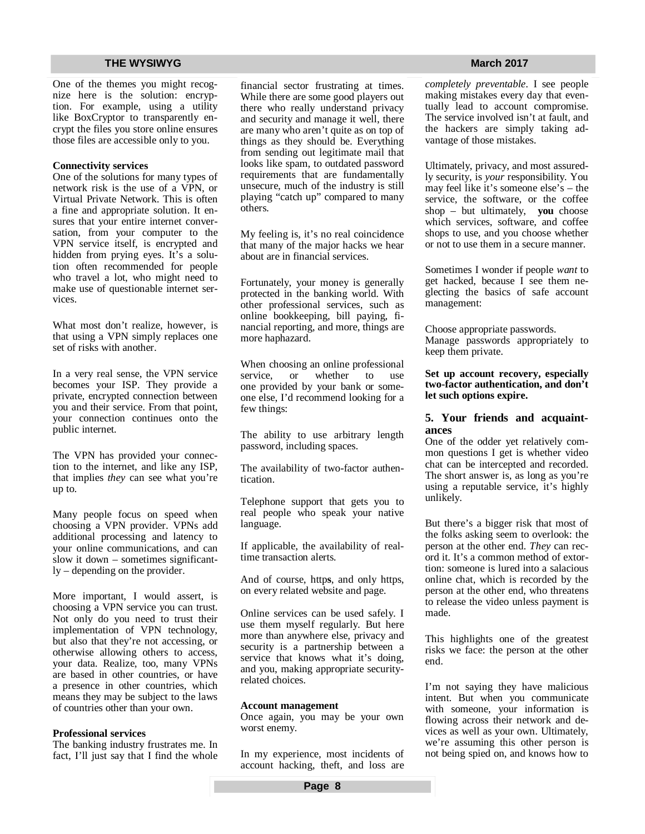One of the themes you might recognize here is the solution: encryption. For example, using a utility like BoxCryptor to transparently encrypt the files you store online ensures those files are accessible only to you.

#### **Connectivity services**

One of the solutions for many types of network risk is the use of a VPN, or Virtual Private Network. This is often a fine and appropriate solution. It ensures that your entire internet conversation, from your computer to the VPN service itself, is encrypted and hidden from prying eyes. It's a solution often recommended for people who travel a lot, who might need to make use of questionable internet services.

What most don't realize, however, is that using a VPN simply replaces one set of risks with another.

In a very real sense, the VPN service becomes your ISP. They provide a private, encrypted connection between you and their service. From that point, your connection continues onto the public internet.

The VPN has provided your connection to the internet, and like any ISP, that implies *they* can see what you're up to.

Many people focus on speed when choosing a VPN provider. VPNs add additional processing and latency to your online communications, and can slow it down – sometimes significantly – depending on the provider.

More important, I would assert, is choosing a VPN service you can trust. Not only do you need to trust their implementation of VPN technology, but also that they're not accessing, or otherwise allowing others to access, your data. Realize, too, many VPNs are based in other countries, or have a presence in other countries, which means they may be subject to the laws of countries other than your own.

#### **Professional services**

The banking industry frustrates me. In fact, I'll just say that I find the whole financial sector frustrating at times. While there are some good players out there who really understand privacy and security and manage it well, there are many who aren't quite as on top of things as they should be. Everything from sending out legitimate mail that looks like spam, to outdated password requirements that are fundamentally unsecure, much of the industry is still playing "catch up" compared to many others.

My feeling is, it's no real coincidence that many of the major hacks we hear about are in financial services.

Fortunately, your money is generally protected in the banking world. With other professional services, such as online bookkeeping, bill paying, financial reporting, and more, things are more haphazard.

When choosing an online professional service, or whether to use one provided by your bank or someone else, I'd recommend looking for a few things:

The ability to use arbitrary length password, including spaces.

The availability of two-factor authentication.

Telephone support that gets you to real people who speak your native language.

If applicable, the availability of realtime transaction alerts.

And of course, http**s**, and only https, on every related website and page.

Online services can be used safely. I use them myself regularly. But here more than anywhere else, privacy and security is a partnership between a service that knows what it's doing, and you, making appropriate securityrelated choices.

#### **Account management**

Once again, you may be your own worst enemy.

In my experience, most incidents of account hacking, theft, and loss are

*completely preventable*. I see people making mistakes every day that eventually lead to account compromise. The service involved isn't at fault, and the hackers are simply taking advantage of those mistakes.

Ultimately, privacy, and most assuredly security, is *your* responsibility. You may feel like it's someone else's – the service, the software, or the coffee shop – but ultimately, **you** choose which services, software, and coffee shops to use, and you choose whether or not to use them in a secure manner.

Sometimes I wonder if people *want* to get hacked, because I see them neglecting the basics of safe account management:

Choose appropriate passwords. Manage passwords appropriately to keep them private.

#### **Set up account recovery, especially two-factor authentication, and don't let such options expire.**

#### **5. Your friends and acquaintances**

One of the odder yet relatively common questions I get is whether video chat can be intercepted and recorded. The short answer is, as long as you're using a reputable service, it's highly unlikely.

But there's a bigger risk that most of the folks asking seem to overlook: the person at the other end. *They* can record it. It's a common method of extortion: someone is lured into a salacious online chat, which is recorded by the person at the other end, who threatens to release the video unless payment is made.

This highlights one of the greatest risks we face: the person at the other end.

I'm not saying they have malicious intent. But when you communicate with someone, your information is flowing across their network and devices as well as your own. Ultimately, we're assuming this other person is not being spied on, and knows how to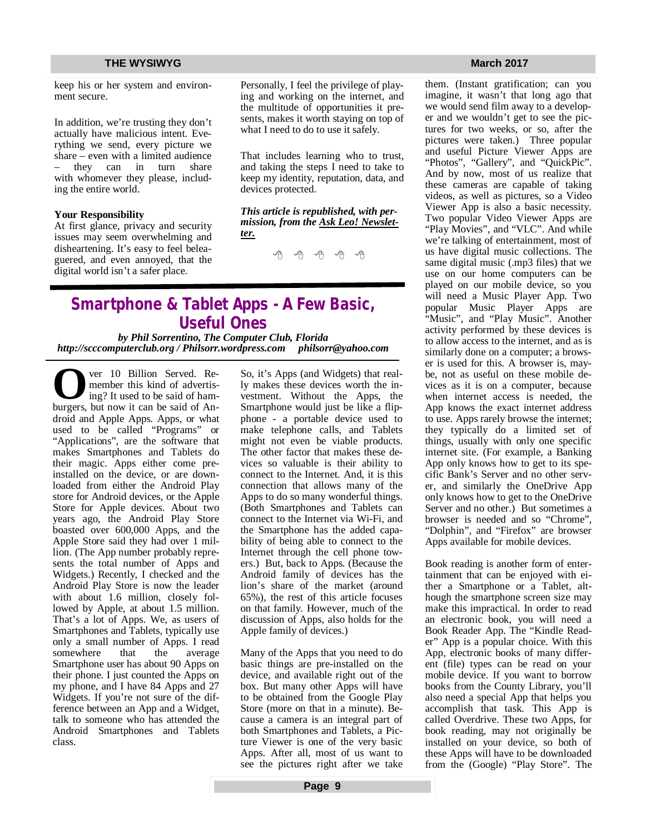keep his or her system and environment secure.

In addition, we're trusting they don't actually have malicious intent. Everything we send, every picture we share – even with a limited audience they can in turn share with whomever they please, including the entire world.

#### **Your Responsibility**

At first glance, privacy and security issues may seem overwhelming and disheartening. It's easy to feel beleaguered, and even annoyed, that the digital world isn't a safer place.

Personally, I feel the privilege of playing and working on the internet, and the multitude of opportunities it presents, makes it worth staying on top of what I need to do to use it safely.

That includes learning who to trust, and taking the steps I need to take to keep my identity, reputation, data, and devices protected.

*This article is republished, with permission, from the Ask Leo! Newsletter.* 

9 9 9 9 9

# **Smartphone & Tablet Apps - A Few Basic, Useful Ones**

*by Phil Sorrentino, The Computer Club, Florida http://scccomputerclub.org / Philsorr.wordpress.com [philsorr@yahoo.com](mailto:philsorr@yahoo.com)* 

**O** ver 10 Billion Served. Remember this kind of advertising? It used to be said of ham-<br>burgers, but now it can be said of Anver 10 Billion Served. Remember this kind of advertising? It used to be said of hamdroid and Apple Apps. Apps, or what used to be called "Programs" or "Applications", are the software that makes Smartphones and Tablets do their magic. Apps either come preinstalled on the device, or are downloaded from either the Android Play store for Android devices, or the Apple Store for Apple devices. About two years ago, the Android Play Store boasted over 600,000 Apps, and the Apple Store said they had over 1 million. (The App number probably represents the total number of Apps and Widgets.) Recently, I checked and the Android Play Store is now the leader with about 1.6 million, closely followed by Apple, at about 1.5 million. That's a lot of Apps. We, as users of Smartphones and Tablets, typically use only a small number of Apps. I read somewhere that the average Smartphone user has about 90 Apps on their phone. I just counted the Apps on my phone, and I have 84 Apps and 27 Widgets. If you're not sure of the difference between an App and a Widget, talk to someone who has attended the Android Smartphones and Tablets class.

So, it's Apps (and Widgets) that really makes these devices worth the investment. Without the Apps, the Smartphone would just be like a flipphone - a portable device used to make telephone calls, and Tablets might not even be viable products. The other factor that makes these devices so valuable is their ability to connect to the Internet. And, it is this connection that allows many of the Apps to do so many wonderful things. (Both Smartphones and Tablets can connect to the Internet via Wi-Fi, and the Smartphone has the added capability of being able to connect to the Internet through the cell phone towers.) But, back to Apps. (Because the Android family of devices has the lion's share of the market (around 65%), the rest of this article focuses on that family. However, much of the discussion of Apps, also holds for the Apple family of devices.)

Many of the Apps that you need to do basic things are pre-installed on the device, and available right out of the box. But many other Apps will have to be obtained from the Google Play Store (more on that in a minute). Because a camera is an integral part of both Smartphones and Tablets, a Picture Viewer is one of the very basic Apps. After all, most of us want to see the pictures right after we take

them. (Instant gratification; can you imagine, it wasn't that long ago that we would send film away to a developer and we wouldn't get to see the pictures for two weeks, or so, after the pictures were taken.) Three popular and useful Picture Viewer Apps are "Photos", "Gallery", and "QuickPic". And by now, most of us realize that these cameras are capable of taking videos, as well as pictures, so a Video Viewer App is also a basic necessity. Two popular Video Viewer Apps are "Play Movies", and "VLC". And while we're talking of entertainment, most of us have digital music collections. The same digital music (.mp3 files) that we use on our home computers can be played on our mobile device, so you will need a Music Player App. Two popular Music Player Apps are "Music", and "Play Music". Another activity performed by these devices is to allow access to the internet, and as is similarly done on a computer; a browser is used for this. A browser is, maybe, not as useful on these mobile devices as it is on a computer, because when internet access is needed, the App knows the exact internet address to use. Apps rarely browse the internet; they typically do a limited set of things, usually with only one specific internet site. (For example, a Banking App only knows how to get to its specific Bank's Server and no other server, and similarly the OneDrive App only knows how to get to the OneDrive Server and no other.) But sometimes a browser is needed and so "Chrome", "Dolphin", and "Firefox" are browser Apps available for mobile devices.

Book reading is another form of entertainment that can be enjoyed with either a Smartphone or a Tablet, although the smartphone screen size may make this impractical. In order to read an electronic book, you will need a Book Reader App. The "Kindle Reader" App is a popular choice. With this App, electronic books of many different (file) types can be read on your mobile device. If you want to borrow books from the County Library, you'll also need a special App that helps you accomplish that task. This App is called Overdrive. These two Apps, for book reading, may not originally be installed on your device, so both of these Apps will have to be downloaded from the (Google) "Play Store". The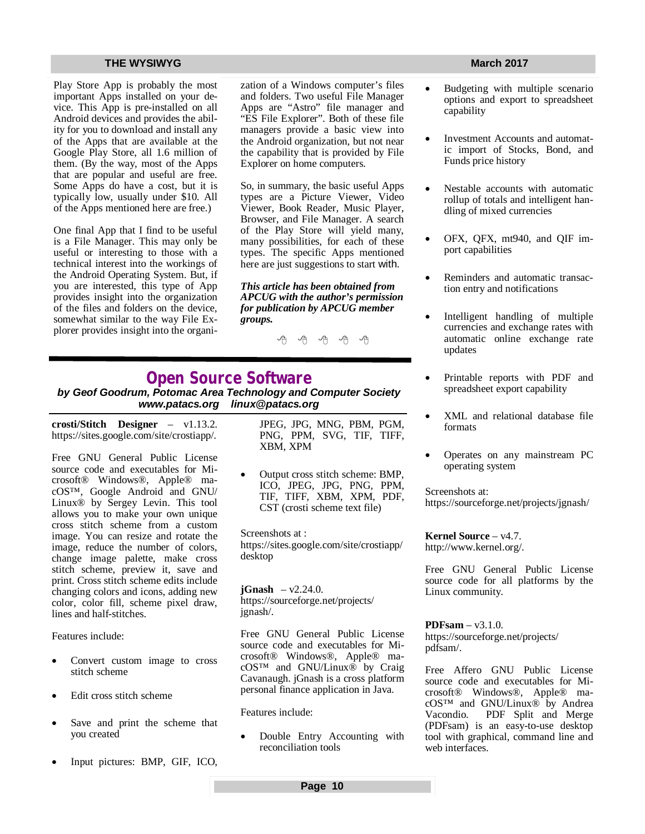Play Store App is probably the most important Apps installed on your device. This App is pre-installed on all Android devices and provides the ability for you to download and install any of the Apps that are available at the Google Play Store, all 1.6 million of them. (By the way, most of the Apps that are popular and useful are free. Some Apps do have a cost, but it is typically low, usually under \$10. All of the Apps mentioned here are free.)

One final App that I find to be useful is a File Manager. This may only be useful or interesting to those with a technical interest into the workings of the Android Operating System. But, if you are interested, this type of App provides insight into the organization of the files and folders on the device, somewhat similar to the way File Explorer provides insight into the organization of a Windows computer's files and folders. Two useful File Manager Apps are "Astro" file manager and "ES File Explorer". Both of these file managers provide a basic view into the Android organization, but not near the capability that is provided by File Explorer on home computers.

So, in summary, the basic useful Apps types are a Picture Viewer, Video Viewer, Book Reader, Music Player, Browser, and File Manager. A search of the Play Store will yield many, many possibilities, for each of these types. The specific Apps mentioned here are just suggestions to start with.

*This article has been obtained from APCUG with the author's permission for publication by APCUG member groups.*

A A A A A

# **Open Source Software**

*by Geof Goodrum, Potomac Area Technology and Computer Society [www.patacs.org](http://www.patacs.org) [linux@patacs.org](mailto:linux@patacs.org)*

**crosti/Stitch Designer** – v1.13.2. <https://sites.google.com/site/crostiapp/.>

Free GNU General Public License source code and executables for Microsoft® Windows®, Apple® macOS™, Google Android and GNU/ Linux® by Sergey Levin. This tool allows you to make your own unique cross stitch scheme from a custom image. You can resize and rotate the image, reduce the number of colors, change image palette, make cross stitch scheme, preview it, save and print. Cross stitch scheme edits include changing colors and icons, adding new color, color fill, scheme pixel draw, lines and half-stitches.

Features include:

- Convert custom image to cross stitch scheme
- Edit cross stitch scheme
- Save and print the scheme that you created
- Input pictures: BMP, GIF, ICO,

JPEG, JPG, MNG, PBM, PGM, PNG, PPM, SVG, TIF, TIFF, XBM, XPM

 Output cross stitch scheme: BMP, ICO, JPEG, JPG, PNG, PPM, TIF, TIFF, XBM, XPM, PDF, CST (crosti scheme text file)

Screenshots at : <https://sites.google.com/site/crostiapp/> desktop

**jGnash**  $- v2.24.0$ . <https://sourceforge.net/projects/> jgnash/.

Free GNU General Public License source code and executables for Microsoft® Windows®, Apple® macOS™ and GNU/Linux® by Craig Cavanaugh. jGnash is a cross platform personal finance application in Java.

Features include:

 Double Entry Accounting with reconciliation tools

- Budgeting with multiple scenario options and export to spreadsheet capability
- Investment Accounts and automatic import of Stocks, Bond, and Funds price history
- Nestable accounts with automatic rollup of totals and intelligent handling of mixed currencies
- OFX, QFX, mt940, and QIF import capabilities
- Reminders and automatic transaction entry and notifications
- Intelligent handling of multiple currencies and exchange rates with automatic online exchange rate updates
- Printable reports with PDF and spreadsheet export capability
- XML and relational database file formats
- Operates on any mainstream PC operating system

Screenshots at: <https://sourceforge.net/projects/jgnash/>

**Kernel Source** – v4.7. <http://www.kernel.org/.>

Free GNU General Public License source code for all platforms by the Linux community.

**PDFsam** – v3.1.0. <https://sourceforge.net/projects/> pdfsam/.

Free Affero GNU Public License source code and executables for Microsoft® Windows®, Apple® macOS™ and GNU/Linux® by Andrea Vacondio. PDF Split and Merge (PDFsam) is an easy-to-use desktop tool with graphical, command line and web interfaces.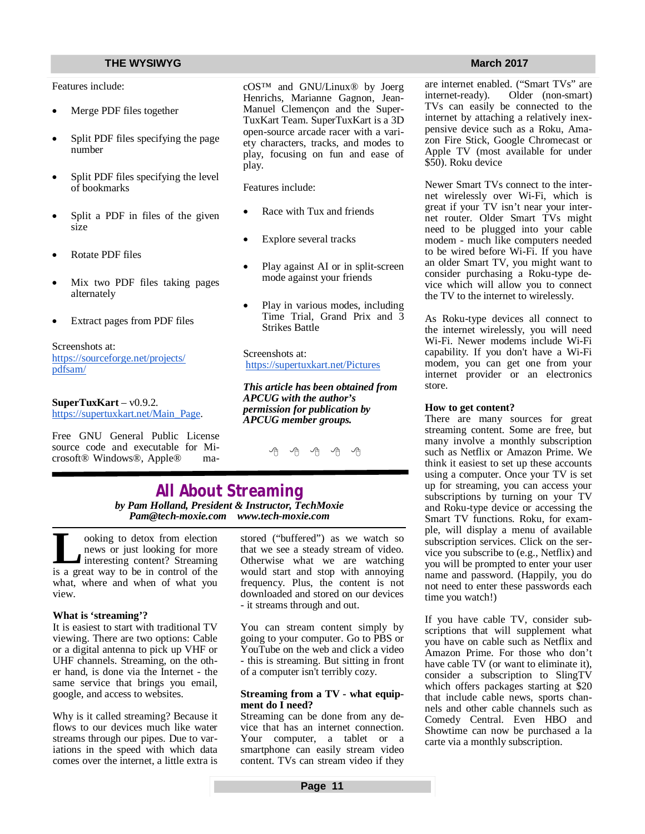### **THE WYSIWYG MARCH 2017**

Features include:

- Merge PDF files together
- Split PDF files specifying the page number
- Split PDF files specifying the level of bookmarks
- Split a PDF in files of the given size
- Rotate PDF files
- Mix two PDF files taking pages alternately
- Extract pages from PDF files

Screenshots at: <https://sourceforge.net/projects/> pdfsam/

### **SuperTuxKart** – v0.9.2.

[https://supertuxkart.net/Main\\_Page.](https://supertuxkart.net/Main_Page.) 

Free GNU General Public License source code and executable for Microsoft® Windows®, Apple® macOS™ and GNU/Linux® by Joerg Henrichs, Marianne Gagnon, Jean-Manuel Clemençon and the Super-TuxKart Team. SuperTuxKart is a 3D open-source arcade racer with a variety characters, tracks, and modes to play, focusing on fun and ease of play.

Features include:

- Race with Tux and friends
- Explore several tracks
- Play against AI or in split-screen mode against your friends
- Play in various modes, including Time Trial, Grand Prix and 3 Strikes Battle

Screenshots at: <https://supertuxkart.net/Pictures>

*This article has been obtained from APCUG with the author's permission for publication by APCUG member groups.*

e e e e e

### **All About Streaming** *by Pam Holland, President & Instructor, TechMoxie [Pam@tech-moxie.com](mailto:Pam@tech-moxie.com) [www.tech-moxie.com](http://www.tech-moxie.com)*

**L**<br> **L** ooking to detox from election<br>
interesting content? Streaming<br>
is a great way to be in control of the ooking to detox from election news or just looking for more interesting content? Streaming what, where and when of what you view.

#### **What is 'streaming'?**

It is easiest to start with traditional TV viewing. There are two options: Cable or a digital antenna to pick up VHF or UHF channels. Streaming, on the other hand, is done via the Internet - the same service that brings you email, google, and access to websites.

Why is it called streaming? Because it flows to our devices much like water streams through our pipes. Due to variations in the speed with which data comes over the internet, a little extra is stored ("buffered") as we watch so that we see a steady stream of video. Otherwise what we are watching would start and stop with annoying frequency. Plus, the content is not downloaded and stored on our devices - it streams through and out.

You can stream content simply by going to your computer. Go to PBS or YouTube on the web and click a video - this is streaming. But sitting in front of a computer isn't terribly cozy.

#### **Streaming from a TV - what equipment do I need?**

Streaming can be done from any device that has an internet connection. Your computer, a tablet or a smartphone can easily stream video content. TVs can stream video if they

are internet enabled. ("Smart TVs" are<br>internet-ready). Older (non-smart) Older (non-smart). TVs can easily be connected to the internet by attaching a relatively inexpensive device such as a Roku, Amazon Fire Stick, Google Chromecast or Apple TV (most available for under \$50). Roku device

Newer Smart TVs connect to the internet wirelessly over Wi-Fi, which is great if your TV isn't near your internet router. Older Smart TVs might need to be plugged into your cable modem - much like computers needed to be wired before Wi-Fi. If you have an older Smart TV, you might want to consider purchasing a Roku-type device which will allow you to connect the TV to the internet to wirelessly.

As Roku-type devices all connect to the internet wirelessly, you will need Wi-Fi. Newer modems include Wi-Fi capability. If you don't have a Wi-Fi modem, you can get one from your internet provider or an electronics store.

### **How to get content?**

There are many sources for great streaming content. Some are free, but many involve a monthly subscription such as Netflix or Amazon Prime. We think it easiest to set up these accounts using a computer. Once your TV is set up for streaming, you can access your subscriptions by turning on your TV and Roku-type device or accessing the Smart TV functions. Roku, for example, will display a menu of available subscription services. Click on the service you subscribe to (e.g., Netflix) and you will be prompted to enter your user name and password. (Happily, you do not need to enter these passwords each time you watch!)

If you have cable TV, consider subscriptions that will supplement what you have on cable such as Netflix and Amazon Prime. For those who don't have cable TV (or want to eliminate it), consider a subscription to SlingTV which offers packages starting at \$20 that include cable news, sports channels and other cable channels such as Comedy Central. Even HBO and Showtime can now be purchased a la carte via a monthly subscription.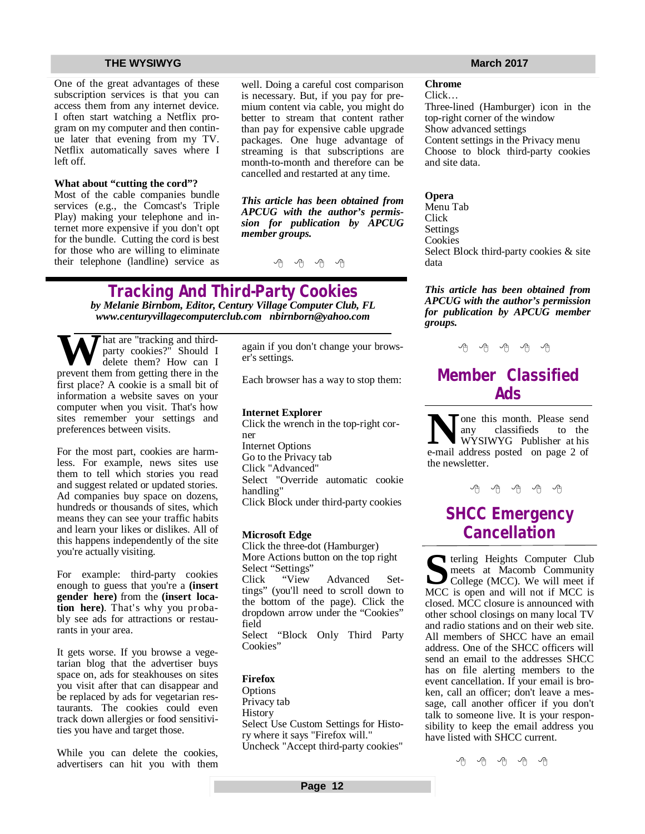One of the great advantages of these subscription services is that you can access them from any internet device. I often start watching a Netflix program on my computer and then continue later that evening from my TV. Netflix automatically saves where I left off.

#### **What about "cutting the cord"?**

Most of the cable companies bundle services (e.g., the Comcast's Triple Play) making your telephone and internet more expensive if you don't opt for the bundle. Cutting the cord is best for those who are willing to eliminate their telephone (landline) service as

well. Doing a careful cost comparison is necessary. But, if you pay for premium content via cable, you might do better to stream that content rather than pay for expensive cable upgrade packages. One huge advantage of streaming is that subscriptions are month-to-month and therefore can be cancelled and restarted at any time.

*This article has been obtained from APCUG with the author's permission for publication by APCUG member groups.*

9 9 9 9

# **Tracking And Third-Party Cookies**

*by Melanie Birnbom, Editor, Century Village Computer Club, FL [www.centuryvillagecomputerclub.com](http://www.centuryvillagecomputerclub.com) [nbirnborn@yahoo.com](mailto:nbirnborn@yahoo.com)*

**W** hat are "tracking and third-<br>delete them? How can I<br>prevent them from getting there in the party cookies?" Should I delete them? How can I first place? A cookie is a small bit of information a website saves on your computer when you visit. That's how sites remember your settings and preferences between visits.

For the most part, cookies are harmless. For example, news sites use them to tell which stories you read and suggest related or updated stories. Ad companies buy space on dozens, hundreds or thousands of sites, which means they can see your traffic habits and learn your likes or dislikes. All of this happens independently of the site you're actually visiting.

For example: third-party cookies enough to guess that you're a **(insert gender here)** from the **(insert location here)**. That's why you probably see ads for attractions or restaurants in your area.

It gets worse. If you browse a vegetarian blog that the advertiser buys space on, ads for steakhouses on sites you visit after that can disappear and be replaced by ads for vegetarian restaurants. The cookies could even track down allergies or food sensitivities you have and target those.

While you can delete the cookies, advertisers can hit you with them

again if you don't change your browser's settings.

Each browser has a way to stop them:

#### **Internet Explorer**

Click the wrench in the top-right corner Internet Options Go to the Privacy tab Click "Advanced" Select "Override automatic cookie handling" Click Block under third-party cookies

#### **Microsoft Edge**

Click the three-dot (Hamburger) More Actions button on the top right Select "Settings"<br>Click "View Click "View Advanced Settings" (you'll need to scroll down to the bottom of the page). Click the dropdown arrow under the "Cookies" field Select "Block Only Third Party Cookies"

### **Firefox**

Options Privacy tab History Select Use Custom Settings for History where it says "Firefox will." Uncheck "Accept third-party cookies"

**Chrome** Click…

Three-lined (Hamburger) icon in the top-right corner of the window Show advanced settings Content settings in the Privacy menu Choose to block third-party cookies and site data.

**Opera** Menu Tab Click **Settings Cookies** Select Block third-party cookies & site data

*This article has been obtained from APCUG with the author's permission for publication by APCUG member groups.*

个 个 个 个 个

# **Member Classified Ads**

**N**one this month. Please send<br>
any classifieds to the<br>
e-mail address posted on page 2 of Tone this month. Please send any classifieds to the WYSIWYG Publisher at his the newsletter.

A A A A A

# **SHCC Emergency Cancellation**

**S S S S S S CO COLLEGE S COLLEGE COLLEGE COLLEGE COLLEGE COLLEGE COLLEGE COLLEGE COLLEGE COLLEGE COLLEGE COLLEGE COLLEGE COLLEGE COLLEGE COLLEGE COLLEGE COLLEGE COLLEGE** terling Heights Computer Club meets at Macomb Community MCC is open and will not if MCC is closed. MCC closure is announced with other school closings on many local TV and radio stations and on their web site. All members of SHCC have an email address. One of the SHCC officers will send an email to the addresses SHCC has on file alerting members to the event cancellation. If your email is broken, call an officer; don't leave a message, call another officer if you don't talk to someone live. It is your responsibility to keep the email address you have listed with SHCC current.

- 아주 아주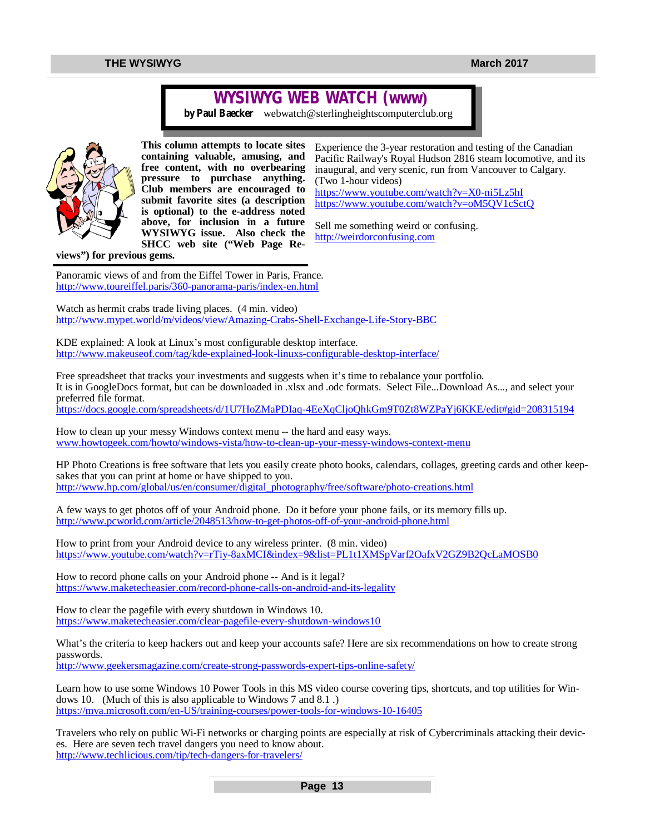# **WYSIWYG WEB WATCH (www)**

*by Paul Baecker* [webwatch@sterlingheightscomputerclub.org](mailto:webwatch@sterlingheightscomputerclub.org)



**This column attempts to locate sites containing valuable, amusing, and free content, with no overbearing pressure to purchase anything. Club members are encouraged to submit favorite sites (a description is optional) to the e-address noted above, for inclusion in a future WYSIWYG issue. Also check the SHCC web site ("Web Page Re-**

Experience the 3-year restoration and testing of the Canadian Pacific Railway's Royal Hudson 2816 steam locomotive, and its inaugural, and very scenic, run from Vancouver to Calgary. (Two 1-hour videos) <https://www.youtube.com/watch?v=X0-ni5Lz5hI>

<https://www.youtube.com/watch?v=oM5QV1cSctQ>

Sell me something weird or confusing. <http://weirdorconfusing.com>

**views") for previous gems.** 

Panoramic views of and from the Eiffel Tower in Paris, France. <http://www.toureiffel.paris/360-panorama-paris/index-en.html>

Watch as hermit crabs trade living places. (4 min. video) <http://www.mypet.world/m/videos/view/Amazing-Crabs-Shell-Exchange-Life-Story-BBC>

KDE explained: A look at Linux's most configurable desktop interface. <http://www.makeuseof.com/tag/kde-explained-look-linuxs-configurable-desktop-interface/>

Free spreadsheet that tracks your investments and suggests when it's time to rebalance your portfolio. It is in GoogleDocs format, but can be downloaded in .xlsx and .odc formats. Select File...Download As..., and select your preferred file format.

<https://docs.google.com/spreadsheets/d/1U7HoZMaPDIaq-4EeXqCljoQhkGm9T0Zt8WZPaYj6KKE/edit#gid=208315194>

How to clean up your messy Windows context menu -- the hard and easy ways. [www.howtogeek.com/howto/windows-vista/how-to-clean-up-your-messy-windows-context-menu](http://www.howtogeek.com/howto/windows-vista/how-to-clean-up-your-messy-windows-context-menu)

HP Photo Creations is free software that lets you easily create photo books, calendars, collages, greeting cards and other keepsakes that you can print at home or have shipped to you. [http://www.hp.com/global/us/en/consumer/digital\\_photography/free/software/photo-creations.html](http://www.hp.com/global/us/en/consumer/digital_photography/free/software/photo-creations.html)

A few ways to get photos off of your Android phone. Do it before your phone fails, or its memory fills up. <http://www.pcworld.com/article/2048513/how-to-get-photos-off-of-your-android-phone.html>

How to print from your Android device to any wireless printer. (8 min. video) <https://www.youtube.com/watch?v=rTiy-8axMCI&index=9&list=PL1t1XMSpVarf2OafxV2GZ9B2QcLaMOSB0>

How to record phone calls on your Android phone -- And is it legal? <https://www.maketecheasier.com/record-phone-calls-on-android-and-its-legality>

How to clear the pagefile with every shutdown in Windows 10. <https://www.maketecheasier.com/clear-pagefile-every-shutdown-windows10>

What's the criteria to keep hackers out and keep your accounts safe? Here are six recommendations on how to create strong passwords.

<http://www.geekersmagazine.com/create-strong-passwords-expert-tips-online-safety/>

Learn how to use some Windows 10 Power Tools in this MS video course covering tips, shortcuts, and top utilities for Windows 10. (Much of this is also applicable to Windows 7 and 8.1 .) <https://mva.microsoft.com/en-US/training-courses/power-tools-for-windows-10-16405>

Travelers who rely on public Wi-Fi networks or charging points are especially at risk of Cybercriminals attacking their devices. Here are seven tech travel dangers you need to know about. <http://www.techlicious.com/tip/tech-dangers-for-travelers/>